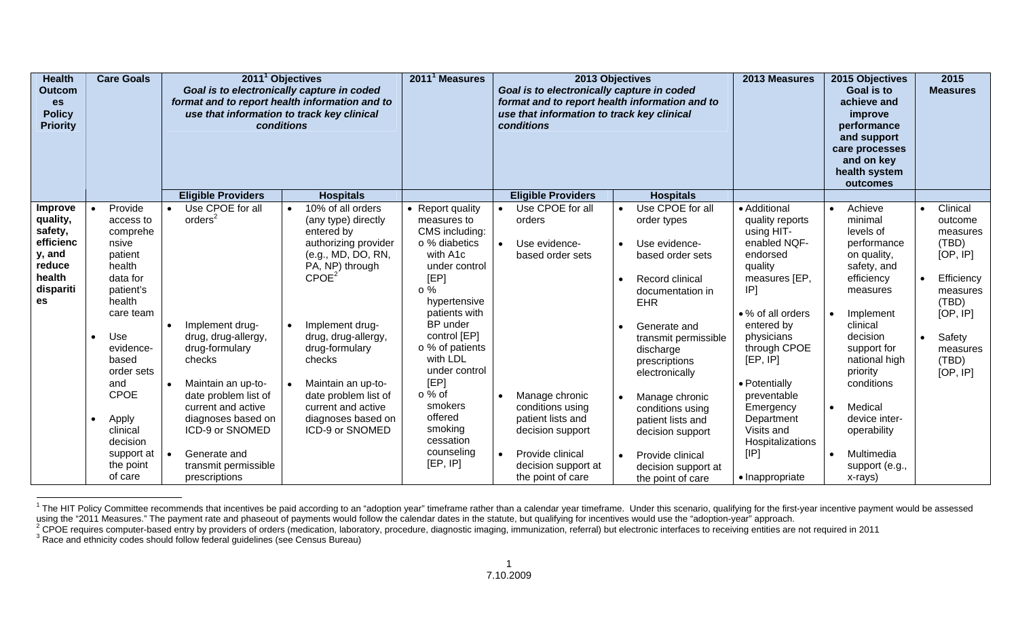| <b>Health</b><br>Outcom<br><b>es</b><br><b>Policy</b><br><b>Priority</b>                     |                        | <b>Care Goals</b>                                                                                                                                                                                                              |                                     | 2011 <sup>1</sup> Objectives<br>Goal is to electronically capture in coded<br>format and to report health information and to<br>use that information to track key clinical<br>conditions<br><b>Eligible Providers</b><br><b>Hospitals</b>  |  | 2011 <sup>1</sup> Measures                                                                                                                                                                                                                                                                                                      |                                                                                                                                                                                                                                                                                                                 | 2013 Objectives<br>Goal is to electronically capture in coded<br>format and to report health information and to<br>use that information to track key clinical<br>conditions |                                                                                                                                                                    | 2013 Measures                                                                                                                                                                                                                                                                                                        |                                                                                                                                                                                                                                                                                                | 2015 Objectives<br>Goal is to<br>achieve and<br>improve<br>performance<br>and support<br>care processes<br>and on key<br>health system<br>outcomes |                                                                                                                                                                                                                                                                | 2015<br><b>Measures</b> |                                                                                                                                                |
|----------------------------------------------------------------------------------------------|------------------------|--------------------------------------------------------------------------------------------------------------------------------------------------------------------------------------------------------------------------------|-------------------------------------|--------------------------------------------------------------------------------------------------------------------------------------------------------------------------------------------------------------------------------------------|--|---------------------------------------------------------------------------------------------------------------------------------------------------------------------------------------------------------------------------------------------------------------------------------------------------------------------------------|-----------------------------------------------------------------------------------------------------------------------------------------------------------------------------------------------------------------------------------------------------------------------------------------------------------------|-----------------------------------------------------------------------------------------------------------------------------------------------------------------------------|--------------------------------------------------------------------------------------------------------------------------------------------------------------------|----------------------------------------------------------------------------------------------------------------------------------------------------------------------------------------------------------------------------------------------------------------------------------------------------------------------|------------------------------------------------------------------------------------------------------------------------------------------------------------------------------------------------------------------------------------------------------------------------------------------------|----------------------------------------------------------------------------------------------------------------------------------------------------|----------------------------------------------------------------------------------------------------------------------------------------------------------------------------------------------------------------------------------------------------------------|-------------------------|------------------------------------------------------------------------------------------------------------------------------------------------|
|                                                                                              |                        |                                                                                                                                                                                                                                |                                     |                                                                                                                                                                                                                                            |  |                                                                                                                                                                                                                                                                                                                                 |                                                                                                                                                                                                                                                                                                                 |                                                                                                                                                                             | <b>Eligible Providers</b>                                                                                                                                          | <b>Hospitals</b>                                                                                                                                                                                                                                                                                                     |                                                                                                                                                                                                                                                                                                |                                                                                                                                                    |                                                                                                                                                                                                                                                                |                         |                                                                                                                                                |
| Improve<br>quality,<br>safety,<br>efficienc<br>y, and<br>reduce<br>health<br>dispariti<br>es | $\bullet$<br>$\bullet$ | Provide<br>access to<br>comprehe<br>nsive<br>patient<br>health<br>data for<br>patient's<br>health<br>care team<br>Use<br>evidence-<br>based<br>order sets<br>and<br><b>CPOE</b><br>Apply<br>clinical<br>decision<br>support at | $\bullet$<br>$\bullet$<br>$\bullet$ | Use CPOE for all<br>orders <sup>2</sup><br>Implement drug-<br>drug, drug-allergy,<br>drug-formulary<br>checks<br>Maintain an up-to-<br>date problem list of<br>current and active<br>diagnoses based on<br>ICD-9 or SNOMED<br>Generate and |  | 10% of all orders<br>(any type) directly<br>entered by<br>authorizing provider<br>(e.g., MD, DO, RN,<br>PA, NP) through<br>CPOE <sup>2</sup><br>Implement drug-<br>drug, drug-allergy,<br>drug-formulary<br>checks<br>Maintain an up-to-<br>date problem list of<br>current and active<br>diagnoses based on<br>ICD-9 or SNOMED | • Report quality<br>measures to<br>CMS including:<br>o % diabetics<br>with A1c<br>under control<br>[EP]<br>$\circ$ %<br>hypertensive<br>patients with<br>BP under<br>control [EP]<br>o % of patients<br>with LDL<br>under control<br>[EP]<br>○ % of<br>smokers<br>offered<br>smoking<br>cessation<br>counseling | $\bullet$<br>$\bullet$                                                                                                                                                      | Use CPOE for all<br>orders<br>Use evidence-<br>based order sets<br>Manage chronic<br>conditions using<br>patient lists and<br>decision support<br>Provide clinical | Use CPOE for all<br>order types<br>Use evidence-<br>based order sets<br>Record clinical<br>documentation in<br><b>EHR</b><br>Generate and<br>transmit permissible<br>discharge<br>prescriptions<br>electronically<br>Manage chronic<br>conditions using<br>patient lists and<br>decision support<br>Provide clinical | • Additional<br>quality reports<br>using HIT-<br>enabled NQF-<br>endorsed<br>quality<br>measures [EP,<br>IP]<br>• % of all orders<br>entered by<br>physicians<br>through CPOE<br>[EP, IP]<br>• Potentially<br>preventable<br>Emergency<br>Department<br>Visits and<br>Hospitalizations<br>[IP] | $\bullet$<br>$\bullet$<br>$\bullet$<br>$\bullet$                                                                                                   | Achieve<br>minimal<br>levels of<br>performance<br>on quality,<br>safety, and<br>efficiency<br>measures<br>Implement<br>clinical<br>decision<br>support for<br>national high<br>priority<br>conditions<br>Medical<br>device inter-<br>operability<br>Multimedia | $\bullet$               | Clinical<br>outcome<br>measures<br>(TBD)<br>[OP, IP]<br>Efficiency<br>measures<br>(TBD)<br>[OP, IP]<br>Safety<br>measures<br>(TBD)<br>[OP, IP] |
|                                                                                              |                        | the point<br>of care                                                                                                                                                                                                           |                                     | transmit permissible<br>prescriptions                                                                                                                                                                                                      |  |                                                                                                                                                                                                                                                                                                                                 | [EP, IP]                                                                                                                                                                                                                                                                                                        |                                                                                                                                                                             | decision support at<br>the point of care                                                                                                                           | decision support at<br>the point of care                                                                                                                                                                                                                                                                             | • Inappropriate                                                                                                                                                                                                                                                                                |                                                                                                                                                    | support (e.g.,<br>x-rays)                                                                                                                                                                                                                                      |                         |                                                                                                                                                |

<sup>&</sup>lt;sup>1</sup> The HIT Policy Committee recommends that incentives be paid according to an "adoption year" timeframe rather than a calendar year timeframe. Under this scenario, qualifying for the first-year incentive payment would be

using the "2011 Measures." The payment rate and phaseout of payments would follow the calendar dates in the statute, but qualifying for incentives would use the "adoption-year" approach.<br><sup>2</sup> CPOE requires computer-based en

3 Race and ethnicity codes should follow federal guidelines (see Census Bureau)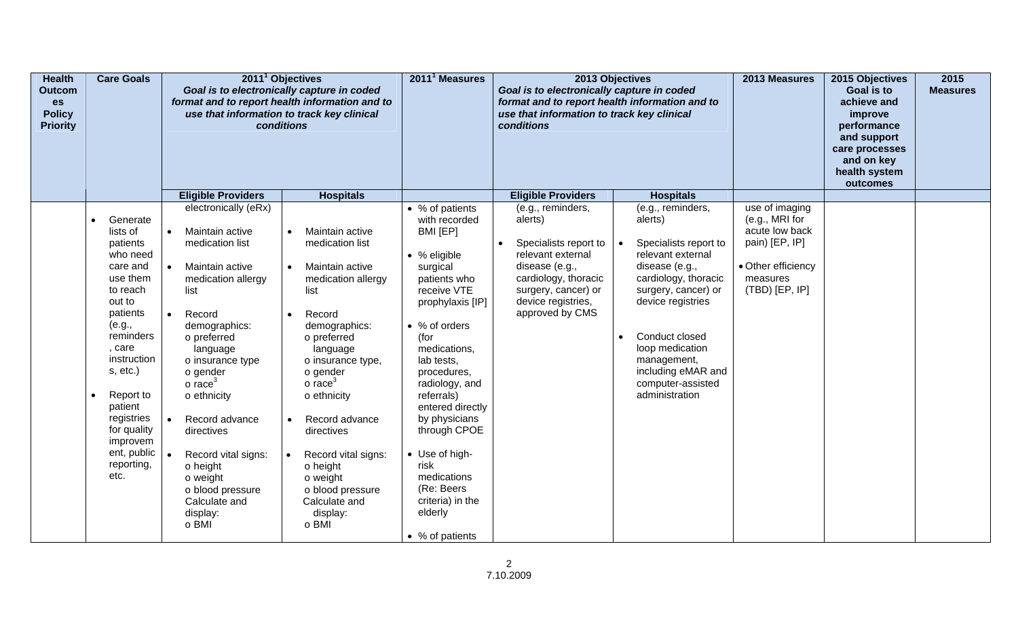| <b>Health</b><br><b>Outcom</b><br>es<br><b>Policy</b><br><b>Priority</b> | <b>Care Goals</b>                                                                                                                                      |                                             | 2011 <sup>1</sup> Objectives<br>Goal is to electronically capture in coded<br>format and to report health information and to<br>use that information to track key clinical<br>conditions<br><b>Hospitals</b><br><b>Eligible Providers</b><br>electronically (eRx) |                                                                                                                                                                                         | 2011 <sup>1</sup> Measures                                                                                                                                                                 | 2013 Objectives<br>Goal is to electronically capture in coded<br>format and to report health information and to<br>use that information to track key clinical<br>conditions<br><b>Eligible Providers</b><br><b>Hospitals</b> |  |                                                                                                                                                                                                            | 2013 Measures                                                                            | 2015 Objectives<br><b>Goal is to</b><br>achieve and<br>improve<br>performance<br>and support<br>care processes<br>and on key<br>health system<br>outcomes | 2015<br><b>Measures</b> |
|--------------------------------------------------------------------------|--------------------------------------------------------------------------------------------------------------------------------------------------------|---------------------------------------------|-------------------------------------------------------------------------------------------------------------------------------------------------------------------------------------------------------------------------------------------------------------------|-----------------------------------------------------------------------------------------------------------------------------------------------------------------------------------------|--------------------------------------------------------------------------------------------------------------------------------------------------------------------------------------------|------------------------------------------------------------------------------------------------------------------------------------------------------------------------------------------------------------------------------|--|------------------------------------------------------------------------------------------------------------------------------------------------------------------------------------------------------------|------------------------------------------------------------------------------------------|-----------------------------------------------------------------------------------------------------------------------------------------------------------|-------------------------|
|                                                                          | lists of<br>patients<br>who need<br>care and<br>use them<br>to reach<br>out to<br>patients<br>(e.g.,<br>reminders<br>, care<br>instruction<br>s, etc.) | $\bullet$<br>$\bullet$<br>list<br>$\bullet$ | Maintain active<br>medication list<br>Maintain active<br>medication allergy<br>Record<br>demographics:<br>o preferred<br>language<br>o insurance type<br>o gender                                                                                                 | Maintain active<br>medication list<br>Maintain active<br>medication allergy<br>list<br>Record<br>demographics:<br>o preferred<br>language<br>o insurance type,<br>o gender              | BMI [EP]<br>$\bullet$ % eligible<br>surgical<br>patients who<br>receive VTE<br>prophylaxis [IP]<br>• % of orders<br>(for<br>medications,<br>lab tests,<br>procedures,                      | Specialists report to<br>relevant external<br>disease (e.g.,<br>cardiology, thoracic<br>surgery, cancer) or<br>device registries,<br>approved by CMS                                                                         |  | Specialists report to<br>relevant external<br>disease (e.g.,<br>cardiology, thoracic<br>surgery, cancer) or<br>device registries<br>Conduct closed<br>loop medication<br>management,<br>including eMAR and | acute low back<br>pain) [EP, IP]<br>• Other efficiency<br>measures<br>$(TBD)$ $[EP, IP]$ |                                                                                                                                                           |                         |
|                                                                          | Report to<br>patient<br>registries<br>for quality<br>improvem<br>ent, public<br>reporting,<br>etc.                                                     | $\bullet$                                   | $\circ$ race <sup>3</sup><br>o ethnicity<br>Record advance<br>directives<br>Record vital signs:<br>o height<br>o weight<br>o blood pressure<br>Calculate and<br>display:<br>o BMI                                                                                 | $\circ$ race <sup>3</sup><br>o ethnicity<br>Record advance<br>directives<br>Record vital signs:<br>$\circ$ height<br>o weight<br>o blood pressure<br>Calculate and<br>display:<br>o BMI | radiology, and<br>referrals)<br>entered directly<br>by physicians<br>through CPOE<br>• Use of high-<br>risk<br>medications<br>(Re: Beers<br>criteria) in the<br>elderly<br>• % of patients |                                                                                                                                                                                                                              |  | computer-assisted<br>administration                                                                                                                                                                        |                                                                                          |                                                                                                                                                           |                         |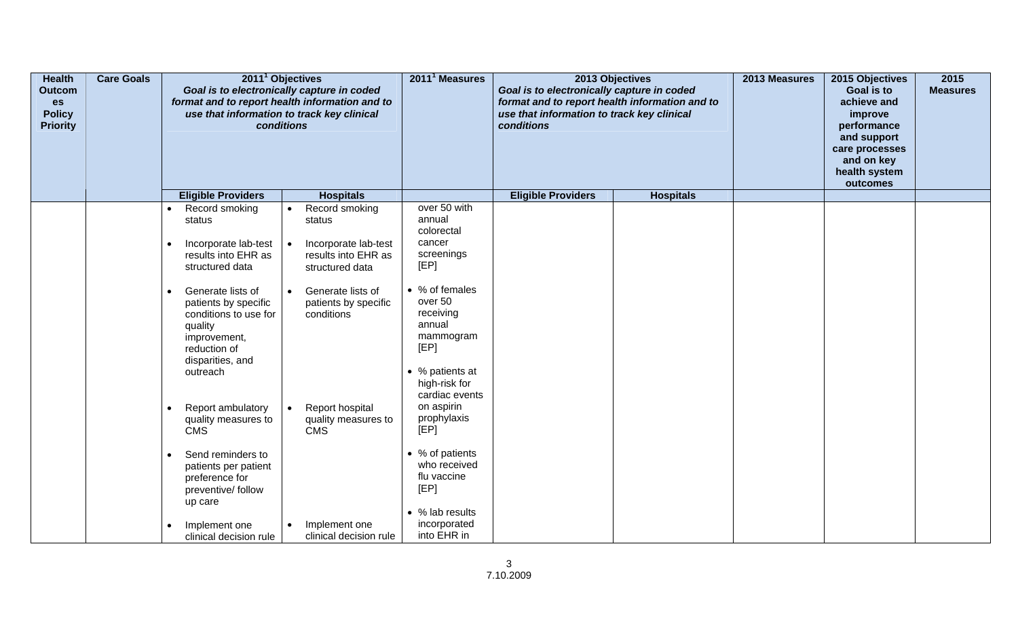| <b>Health</b><br><b>Outcom</b><br>es<br><b>Policy</b><br><b>Priority</b> | <b>Care Goals</b> |                                                                                                                                                            | 2011 <sup>1</sup> Objectives<br>Goal is to electronically capture in coded<br>format and to report health information and to<br>use that information to track key clinical<br>conditions<br><b>Eligible Providers</b><br><b>Hospitals</b> |                                                                                                                             | 2013 Objectives<br>Goal is to electronically capture in coded<br>format and to report health information and to<br>use that information to track key clinical<br>conditions |                  | 2013 Measures | 2015 Objectives<br>Goal is to<br>achieve and<br>improve<br>performance<br>and support<br>care processes<br>and on key<br>health system<br>outcomes | 2015<br><b>Measures</b> |
|--------------------------------------------------------------------------|-------------------|------------------------------------------------------------------------------------------------------------------------------------------------------------|-------------------------------------------------------------------------------------------------------------------------------------------------------------------------------------------------------------------------------------------|-----------------------------------------------------------------------------------------------------------------------------|-----------------------------------------------------------------------------------------------------------------------------------------------------------------------------|------------------|---------------|----------------------------------------------------------------------------------------------------------------------------------------------------|-------------------------|
|                                                                          |                   |                                                                                                                                                            |                                                                                                                                                                                                                                           |                                                                                                                             | <b>Eligible Providers</b>                                                                                                                                                   | <b>Hospitals</b> |               |                                                                                                                                                    |                         |
|                                                                          |                   | Record smoking<br>$\bullet$<br>status                                                                                                                      | Record smoking<br>$\bullet$<br>status                                                                                                                                                                                                     | over 50 with<br>annual<br>colorectal<br>cancer                                                                              |                                                                                                                                                                             |                  |               |                                                                                                                                                    |                         |
|                                                                          |                   | Incorporate lab-test<br>$\bullet$<br>results into EHR as<br>structured data                                                                                | Incorporate lab-test<br>results into EHR as<br>structured data                                                                                                                                                                            | screenings<br>[EP]                                                                                                          |                                                                                                                                                                             |                  |               |                                                                                                                                                    |                         |
|                                                                          |                   | Generate lists of<br>$\bullet$<br>patients by specific<br>conditions to use for<br>quality<br>improvement,<br>reduction of<br>disparities, and<br>outreach | Generate lists of<br>$\bullet$<br>patients by specific<br>conditions                                                                                                                                                                      | • % of females<br>over 50<br>receiving<br>annual<br>mammogram<br>[EP]<br>• % patients at<br>high-risk for<br>cardiac events |                                                                                                                                                                             |                  |               |                                                                                                                                                    |                         |
|                                                                          |                   | Report ambulatory<br>$\bullet$<br>quality measures to<br><b>CMS</b>                                                                                        | Report hospital<br>quality measures to<br><b>CMS</b>                                                                                                                                                                                      | on aspirin<br>prophylaxis<br>[EP]                                                                                           |                                                                                                                                                                             |                  |               |                                                                                                                                                    |                         |
|                                                                          |                   | Send reminders to<br>$\bullet$<br>patients per patient<br>preference for<br>preventive/ follow<br>up care                                                  |                                                                                                                                                                                                                                           | • % of patients<br>who received<br>flu vaccine<br>[EP]<br>• % lab results                                                   |                                                                                                                                                                             |                  |               |                                                                                                                                                    |                         |
|                                                                          |                   | Implement one<br>clinical decision rule                                                                                                                    | Implement one<br>clinical decision rule                                                                                                                                                                                                   | incorporated<br>into EHR in                                                                                                 |                                                                                                                                                                             |                  |               |                                                                                                                                                    |                         |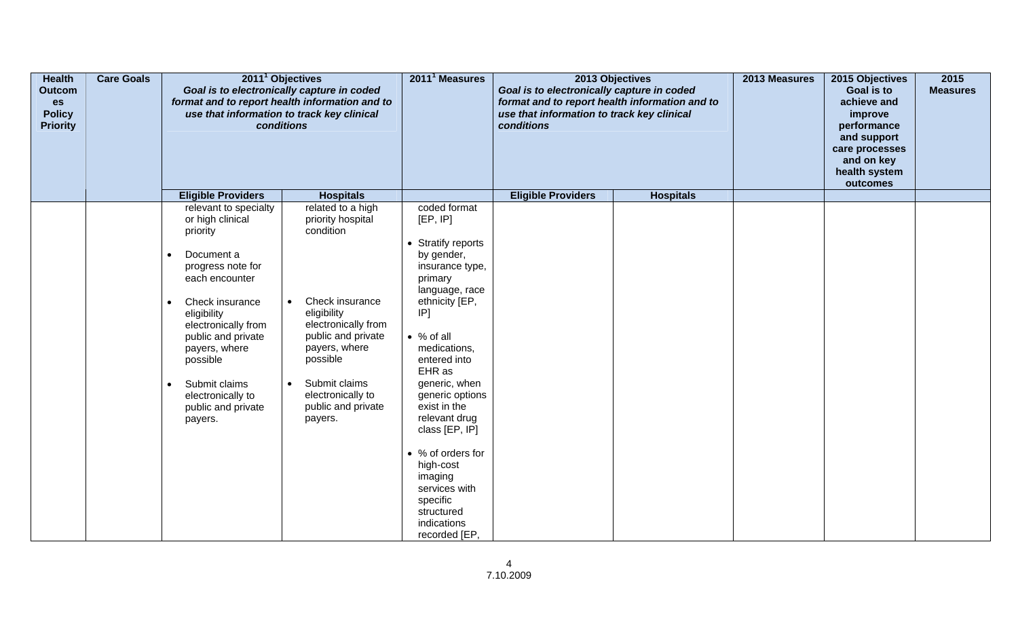| <b>Health</b><br>Outcom<br>es<br><b>Policy</b><br><b>Priority</b> | <b>Care Goals</b> |                                                                                                                                                                                                                                      | 2011 <sup>1</sup> Objectives<br>Goal is to electronically capture in coded<br>format and to report health information and to<br>use that information to track key clinical<br>conditions | 2011 <sup>1</sup> Measures                                                                                                                                                                                                                     | 2013 Objectives<br>Goal is to electronically capture in coded<br>format and to report health information and to<br>use that information to track key clinical<br>conditions |                  | 2013 Measures | 2015 Objectives<br>Goal is to<br>achieve and<br>improve<br>performance<br>and support<br>care processes<br>and on key<br>health system<br>outcomes | 2015<br><b>Measures</b> |
|-------------------------------------------------------------------|-------------------|--------------------------------------------------------------------------------------------------------------------------------------------------------------------------------------------------------------------------------------|------------------------------------------------------------------------------------------------------------------------------------------------------------------------------------------|------------------------------------------------------------------------------------------------------------------------------------------------------------------------------------------------------------------------------------------------|-----------------------------------------------------------------------------------------------------------------------------------------------------------------------------|------------------|---------------|----------------------------------------------------------------------------------------------------------------------------------------------------|-------------------------|
|                                                                   |                   | <b>Eligible Providers</b><br>relevant to specialty                                                                                                                                                                                   | <b>Hospitals</b><br>related to a high                                                                                                                                                    | coded format                                                                                                                                                                                                                                   | <b>Eligible Providers</b>                                                                                                                                                   | <b>Hospitals</b> |               |                                                                                                                                                    |                         |
|                                                                   |                   | or high clinical<br>priority                                                                                                                                                                                                         | priority hospital<br>condition                                                                                                                                                           | [EP, IP]                                                                                                                                                                                                                                       |                                                                                                                                                                             |                  |               |                                                                                                                                                    |                         |
|                                                                   |                   | Document a<br>progress note for<br>each encounter<br>Check insurance<br>eligibility<br>electronically from<br>public and private<br>payers, where<br>possible<br>Submit claims<br>electronically to<br>public and private<br>payers. | Check insurance<br>eligibility<br>electronically from<br>public and private<br>payers, where<br>possible<br>Submit claims<br>electronically to<br>public and private<br>payers.          | • Stratify reports<br>by gender,<br>insurance type,<br>primary<br>language, race<br>ethnicity [EP,<br>[P]<br>$\bullet$ % of all<br>medications,<br>entered into<br>EHR as<br>generic, when<br>generic options<br>exist in the<br>relevant drug |                                                                                                                                                                             |                  |               |                                                                                                                                                    |                         |
|                                                                   |                   |                                                                                                                                                                                                                                      |                                                                                                                                                                                          | class [EP, IP]<br>• % of orders for<br>high-cost<br>imaging<br>services with<br>specific<br>structured<br>indications<br>recorded [EP,                                                                                                         |                                                                                                                                                                             |                  |               |                                                                                                                                                    |                         |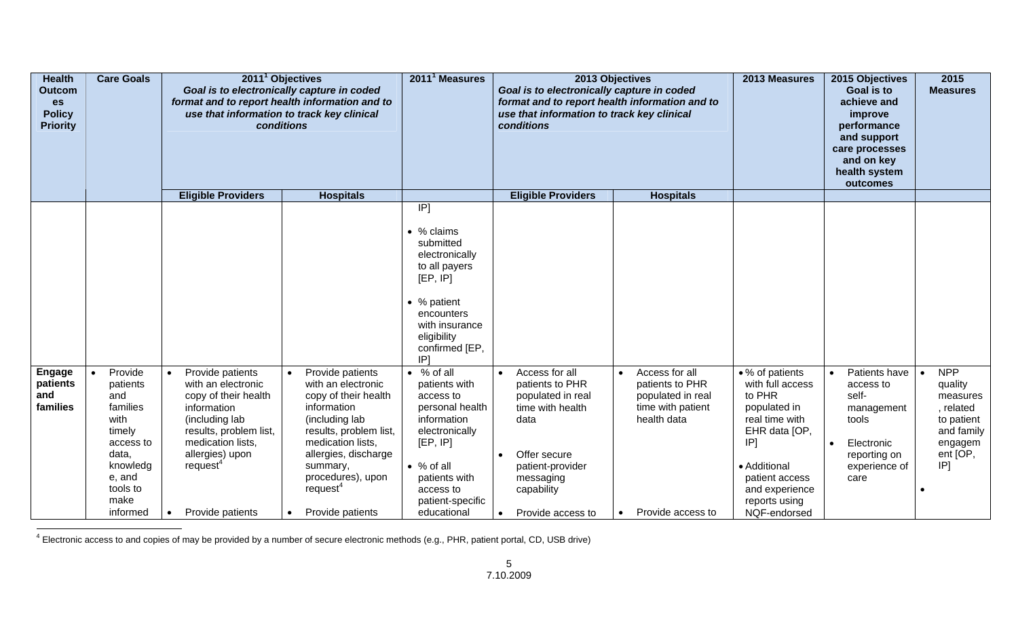| <b>Health</b><br><b>Outcom</b><br>es<br><b>Policy</b><br><b>Priority</b> | <b>Care Goals</b>                                                                                                                    | 2011 <sup>1</sup> Objectives<br>Goal is to electronically capture in coded<br>format and to report health information and to<br>use that information to track key clinical<br>conditions                                                |                                                                                                                                                                                                                                                     | 2011 <sup>1</sup> Measures                                                                                                                                                                              | Goal is to electronically capture in coded<br>format and to report health information and to<br>use that information to track key clinical<br><b>conditions</b>                                  | 2013 Objectives                                                                                                 | 2013 Measures                                                                                                                                                                                            | 2015 Objectives<br><b>Goal is to</b><br>achieve and<br>improve<br>performance<br>and support<br>care processes<br>and on key<br>health system<br>outcomes | 2015<br><b>Measures</b>                                                                                  |
|--------------------------------------------------------------------------|--------------------------------------------------------------------------------------------------------------------------------------|-----------------------------------------------------------------------------------------------------------------------------------------------------------------------------------------------------------------------------------------|-----------------------------------------------------------------------------------------------------------------------------------------------------------------------------------------------------------------------------------------------------|---------------------------------------------------------------------------------------------------------------------------------------------------------------------------------------------------------|--------------------------------------------------------------------------------------------------------------------------------------------------------------------------------------------------|-----------------------------------------------------------------------------------------------------------------|----------------------------------------------------------------------------------------------------------------------------------------------------------------------------------------------------------|-----------------------------------------------------------------------------------------------------------------------------------------------------------|----------------------------------------------------------------------------------------------------------|
|                                                                          |                                                                                                                                      | <b>Eligible Providers</b>                                                                                                                                                                                                               | <b>Hospitals</b>                                                                                                                                                                                                                                    | [ P]                                                                                                                                                                                                    | <b>Eligible Providers</b>                                                                                                                                                                        | <b>Hospitals</b>                                                                                                |                                                                                                                                                                                                          |                                                                                                                                                           |                                                                                                          |
|                                                                          |                                                                                                                                      |                                                                                                                                                                                                                                         |                                                                                                                                                                                                                                                     | • % claims<br>submitted<br>electronically<br>to all payers<br>[EP, IP]<br>• % patient<br>encounters<br>with insurance<br>eligibility<br>confirmed [EP,<br>IP <sub>1</sub>                               |                                                                                                                                                                                                  |                                                                                                                 |                                                                                                                                                                                                          |                                                                                                                                                           |                                                                                                          |
| <b>Engage</b><br>patients<br>and<br>families                             | Provide<br>patients<br>and<br>families<br>with<br>timely<br>access to<br>data,<br>knowledg<br>e, and<br>tools to<br>make<br>informed | Provide patients<br>$\bullet$<br>with an electronic<br>copy of their health<br>information<br>(including lab<br>results, problem list,<br>medication lists,<br>allergies) upon<br>request <sup>4</sup><br>Provide patients<br>$\bullet$ | Provide patients<br>with an electronic<br>copy of their health<br>information<br>(including lab<br>results, problem list,<br>medication lists,<br>allergies, discharge<br>summary,<br>procedures), upon<br>request <sup>4</sup><br>Provide patients | $\bullet$ % of all<br>patients with<br>access to<br>personal health<br>information<br>electronically<br>[EP, IP]<br>$\bullet$ % of all<br>patients with<br>access to<br>patient-specific<br>educational | Access for all<br>patients to PHR<br>populated in real<br>time with health<br>data<br>Offer secure<br>$\bullet$<br>patient-provider<br>messaging<br>capability<br>Provide access to<br>$\bullet$ | Access for all<br>patients to PHR<br>populated in real<br>time with patient<br>health data<br>Provide access to | • % of patients<br>with full access<br>to PHR<br>populated in<br>real time with<br>EHR data [OP,<br>IP <sub>1</sub><br>• Additional<br>patient access<br>and experience<br>reports using<br>NQF-endorsed | Patients have<br>$\bullet$<br>access to<br>self-<br>management<br>tools<br>Electronic<br>$\bullet$<br>reporting on<br>experience of<br>care               | <b>NPP</b><br>quality<br>measures<br>, related<br>to patient<br>and family<br>engagem<br>ent [OP,<br>[P] |

4 Electronic access to and copies of may be provided by a number of secure electronic methods (e.g., PHR, patient portal, CD, USB drive)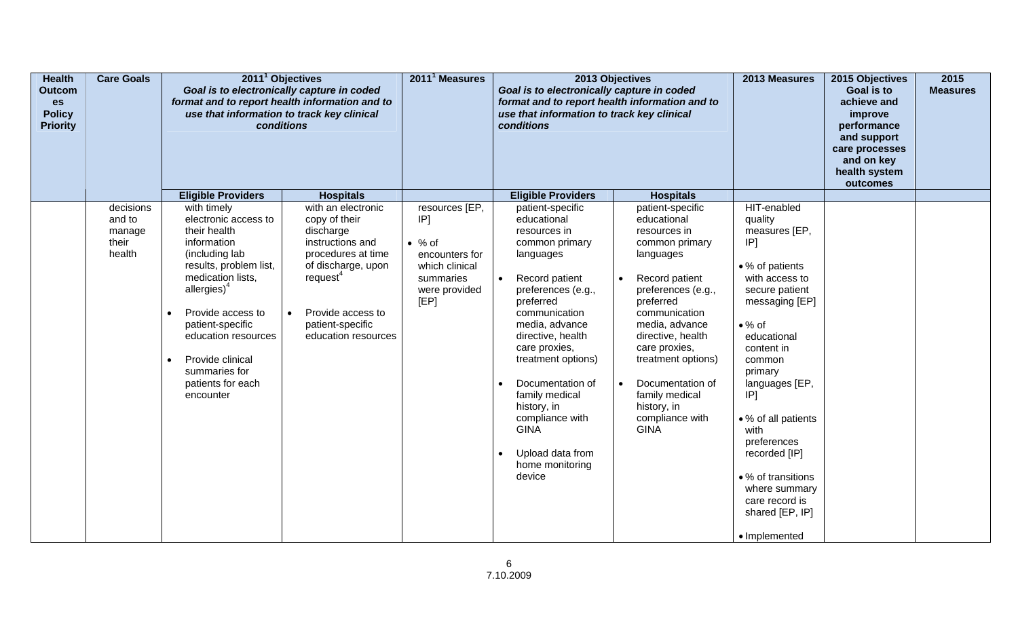| <b>Health</b><br><b>Outcom</b><br>es<br><b>Policy</b><br><b>Priority</b> | <b>Care Goals</b>                                | 2011 <sup>1</sup> Objectives                                                                                                                                                                                                                                                                                     | Goal is to electronically capture in coded<br>format and to report health information and to<br>use that information to track key clinical<br>conditions<br><b>Eligible Providers</b><br><b>Hospitals</b><br>with timely<br>with an electronic |                                                                                                                   | 2013 Objectives<br>Goal is to electronically capture in coded<br>format and to report health information and to<br>use that information to track key clinical<br>conditions                                                                                                                                                                                                             |                                                                                                                                                                                                                                                                                                                    | 2013 Measures                                                                                                                                                                                                                                                                                                                                                                    | 2015 Objectives<br>Goal is to<br>achieve and<br>improve<br>performance<br>and support<br>care processes<br>and on key<br>health system<br>outcomes | 2015<br><b>Measures</b> |
|--------------------------------------------------------------------------|--------------------------------------------------|------------------------------------------------------------------------------------------------------------------------------------------------------------------------------------------------------------------------------------------------------------------------------------------------------------------|------------------------------------------------------------------------------------------------------------------------------------------------------------------------------------------------------------------------------------------------|-------------------------------------------------------------------------------------------------------------------|-----------------------------------------------------------------------------------------------------------------------------------------------------------------------------------------------------------------------------------------------------------------------------------------------------------------------------------------------------------------------------------------|--------------------------------------------------------------------------------------------------------------------------------------------------------------------------------------------------------------------------------------------------------------------------------------------------------------------|----------------------------------------------------------------------------------------------------------------------------------------------------------------------------------------------------------------------------------------------------------------------------------------------------------------------------------------------------------------------------------|----------------------------------------------------------------------------------------------------------------------------------------------------|-------------------------|
|                                                                          |                                                  |                                                                                                                                                                                                                                                                                                                  |                                                                                                                                                                                                                                                |                                                                                                                   | <b>Eligible Providers</b>                                                                                                                                                                                                                                                                                                                                                               | <b>Hospitals</b>                                                                                                                                                                                                                                                                                                   |                                                                                                                                                                                                                                                                                                                                                                                  |                                                                                                                                                    |                         |
|                                                                          | decisions<br>and to<br>manage<br>their<br>health | electronic access to<br>their health<br>information<br>(including lab<br>results, problem list,<br>medication lists,<br>allergies) <sup>4</sup><br>Provide access to<br>$\bullet$<br>patient-specific<br>education resources<br>Provide clinical<br>$\bullet$<br>summaries for<br>patients for each<br>encounter | copy of their<br>discharge<br>instructions and<br>procedures at time<br>of discharge, upon<br>request <sup>4</sup><br>Provide access to<br>patient-specific<br>education resources                                                             | resources [EP,<br>IP]<br>$\bullet$ % of<br>encounters for<br>which clinical<br>summaries<br>were provided<br>[EP] | patient-specific<br>educational<br>resources in<br>common primary<br>languages<br>Record patient<br>preferences (e.g.,<br>preferred<br>communication<br>media, advance<br>directive, health<br>care proxies,<br>treatment options)<br>Documentation of<br>family medical<br>history, in<br>compliance with<br><b>GINA</b><br>Upload data from<br>$\bullet$<br>home monitoring<br>device | patient-specific<br>educational<br>resources in<br>common primary<br>languages<br>Record patient<br>preferences (e.g.,<br>preferred<br>communication<br>media, advance<br>directive, health<br>care proxies,<br>treatment options)<br>Documentation of<br>family medical<br>history, in<br>compliance with<br>GINA | HIT-enabled<br>quality<br>measures [EP,<br>IP]<br>• % of patients<br>with access to<br>secure patient<br>messaging [EP]<br>$\bullet\%$ of<br>educational<br>content in<br>common<br>primary<br>languages [EP,<br>IP]<br>• % of all patients<br>with<br>preferences<br>recorded [IP]<br>• % of transitions<br>where summary<br>care record is<br>shared [EP, IP]<br>• Implemented |                                                                                                                                                    |                         |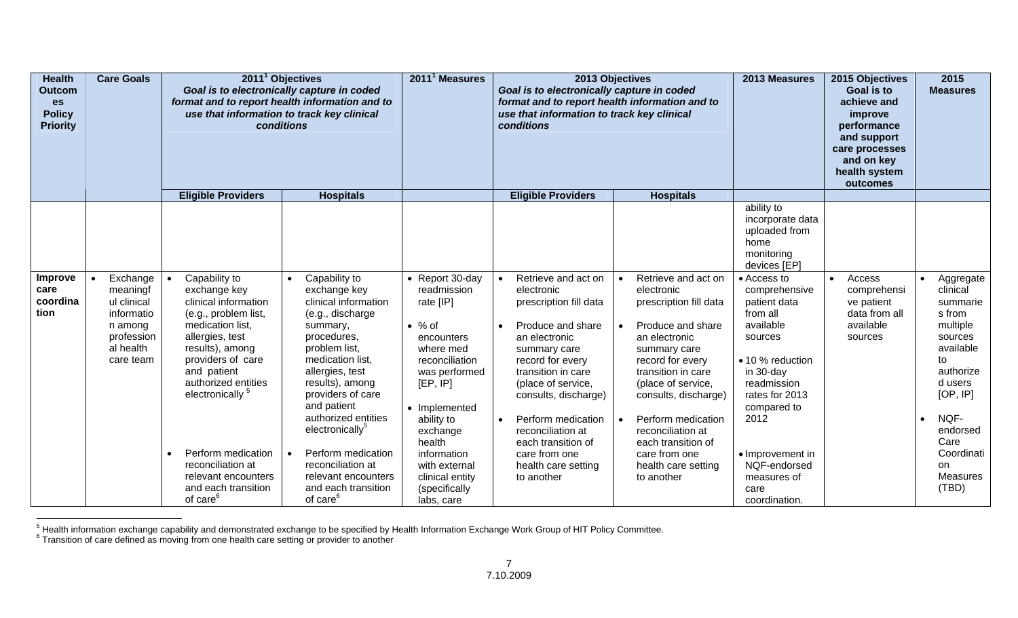| <b>Health</b><br><b>Outcom</b><br>es<br><b>Policy</b><br><b>Priority</b> | <b>Care Goals</b>                                                                                    | 2011 <sup>1</sup> Objectives<br>Goal is to electronically capture in coded<br>format and to report health information and to<br>use that information to track key clinical<br>conditions<br><b>Hospitals</b>                                                                                                                                                    |                                                                                                                                                                                                                                                                                                                                                                                                         | 2011 <sup>1</sup> Measures                                                                                                                                                                                                                                                     | Goal is to electronically capture in coded<br>format and to report health information and to<br>use that information to track key clinical<br>conditions                                                                                                                                                                                                                | 2013 Objectives                                                                                                                                                                                                                                                                                                                  | 2013 Measures                                                                                                                                                                                                                                         | 2015 Objectives<br>Goal is to<br>achieve and<br>improve<br>performance<br>and support<br>care processes<br>and on key<br>health system<br>outcomes | 2015<br><b>Measures</b>                                                                                                                                                                               |
|--------------------------------------------------------------------------|------------------------------------------------------------------------------------------------------|-----------------------------------------------------------------------------------------------------------------------------------------------------------------------------------------------------------------------------------------------------------------------------------------------------------------------------------------------------------------|---------------------------------------------------------------------------------------------------------------------------------------------------------------------------------------------------------------------------------------------------------------------------------------------------------------------------------------------------------------------------------------------------------|--------------------------------------------------------------------------------------------------------------------------------------------------------------------------------------------------------------------------------------------------------------------------------|-------------------------------------------------------------------------------------------------------------------------------------------------------------------------------------------------------------------------------------------------------------------------------------------------------------------------------------------------------------------------|----------------------------------------------------------------------------------------------------------------------------------------------------------------------------------------------------------------------------------------------------------------------------------------------------------------------------------|-------------------------------------------------------------------------------------------------------------------------------------------------------------------------------------------------------------------------------------------------------|----------------------------------------------------------------------------------------------------------------------------------------------------|-------------------------------------------------------------------------------------------------------------------------------------------------------------------------------------------------------|
|                                                                          |                                                                                                      | <b>Eligible Providers</b>                                                                                                                                                                                                                                                                                                                                       |                                                                                                                                                                                                                                                                                                                                                                                                         |                                                                                                                                                                                                                                                                                | <b>Eligible Providers</b>                                                                                                                                                                                                                                                                                                                                               | <b>Hospitals</b>                                                                                                                                                                                                                                                                                                                 |                                                                                                                                                                                                                                                       |                                                                                                                                                    |                                                                                                                                                                                                       |
|                                                                          |                                                                                                      |                                                                                                                                                                                                                                                                                                                                                                 |                                                                                                                                                                                                                                                                                                                                                                                                         |                                                                                                                                                                                                                                                                                |                                                                                                                                                                                                                                                                                                                                                                         |                                                                                                                                                                                                                                                                                                                                  | ability to<br>incorporate data<br>uploaded from<br>home<br>monitoring<br>devices [EP]                                                                                                                                                                 |                                                                                                                                                    |                                                                                                                                                                                                       |
| Improve<br>care<br>coordina<br>tion                                      | Exchange<br>meaningf<br>ul clinical<br>informatio<br>n among<br>profession<br>al health<br>care team | Capability to<br>exchange key<br>clinical information<br>(e.g., problem list,<br>medication list.<br>allergies, test<br>results), among<br>providers of care<br>and patient<br>authorized entities<br>electronically <sup>5</sup><br>Perform medication<br>$\bullet$<br>reconciliation at<br>relevant encounters<br>and each transition<br>of care <sup>6</sup> | Capability to<br>$\bullet$<br>exchange key<br>clinical information<br>(e.g., discharge<br>summary,<br>procedures,<br>problem list,<br>medication list.<br>allergies, test<br>results), among<br>providers of care<br>and patient<br>authorized entities<br>electronically <sup>5</sup><br>Perform medication<br>reconciliation at<br>relevant encounters<br>and each transition<br>of care <sup>6</sup> | • Report 30-day<br>readmission<br>rate [IP]<br>$\bullet$ % of<br>encounters<br>where med<br>reconciliation<br>was performed<br>[EP, IP]<br>• Implemented<br>ability to<br>exchange<br>health<br>information<br>with external<br>clinical entity<br>(specifically<br>labs, care | Retrieve and act on<br>$\bullet$<br>electronic<br>prescription fill data<br>Produce and share<br>$\bullet$<br>an electronic<br>summary care<br>record for every<br>transition in care<br>(place of service,<br>consults, discharge)<br>Perform medication<br>$\bullet$<br>reconciliation at<br>each transition of<br>care from one<br>health care setting<br>to another | Retrieve and act on<br>electronic<br>prescription fill data<br>Produce and share<br>an electronic<br>summary care<br>record for every<br>transition in care<br>(place of service,<br>consults, discharge)<br>Perform medication<br>reconciliation at<br>each transition of<br>care from one<br>health care setting<br>to another | • Access to<br>comprehensive<br>patient data<br>from all<br>available<br>sources<br>• 10 % reduction<br>in 30-day<br>readmission<br>rates for 2013<br>compared to<br>2012<br>• Improvement in<br>NQF-endorsed<br>measures of<br>care<br>coordination. | Access<br>$\bullet$<br>comprehensi<br>ve patient<br>data from all<br>available<br>sources                                                          | Aggregate<br>clinical<br>summarie<br>s from<br>multiple<br>sources<br>available<br>to<br>authorize<br>d users<br>[OP, IP]<br>NQF-<br>endorsed<br>Care<br>Coordinati<br><b>on</b><br>Measures<br>(TBD) |

<sup>&</sup>lt;sup>5</sup> Health information exchange capability and demonstrated exchange to be specified by Health Information Exchange Work Group of HIT Policy Committee.<br><sup>6</sup> Transition of care defined as moving from one health care setting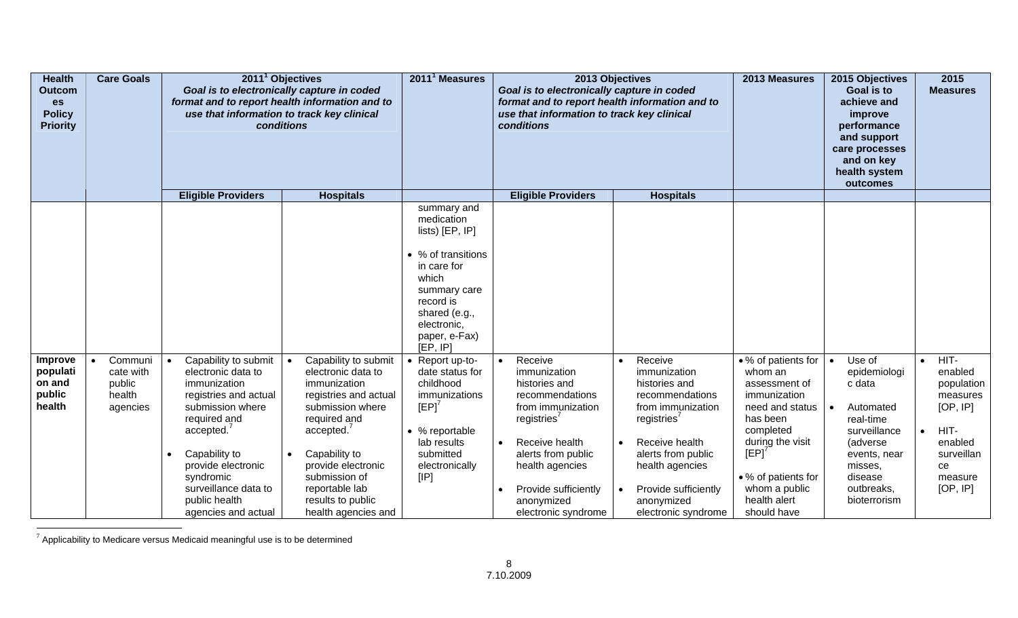| <b>Health</b><br>Outcom<br>es<br><b>Policy</b><br><b>Priority</b> | <b>Care Goals</b>                                    | 2011 <sup>1</sup> Objectives<br>Goal is to electronically capture in coded<br>format and to report health information and to<br>use that information to track key clinical<br>conditions |                                                                                                                                                                                                                                                                       | 2011 <sup>1</sup> Measures | 2013 Objectives<br>Goal is to electronically capture in coded<br>format and to report health information and to<br>use that information to track key clinical<br>conditions                                                                                             |                                                                                                                                                                                      |           | 2013 Measures                                                                                                                                                                                                           |  | 2015 Objectives<br><b>Goal is to</b><br>achieve and<br>improve<br>performance<br>and support<br>care processes<br>and on key<br>health system<br>outcomes                                                               |                                                                                                                                                                                                                | 2015<br><b>Measures</b> |                                                                                                                                                            |                        |                                                                                                                     |
|-------------------------------------------------------------------|------------------------------------------------------|------------------------------------------------------------------------------------------------------------------------------------------------------------------------------------------|-----------------------------------------------------------------------------------------------------------------------------------------------------------------------------------------------------------------------------------------------------------------------|----------------------------|-------------------------------------------------------------------------------------------------------------------------------------------------------------------------------------------------------------------------------------------------------------------------|--------------------------------------------------------------------------------------------------------------------------------------------------------------------------------------|-----------|-------------------------------------------------------------------------------------------------------------------------------------------------------------------------------------------------------------------------|--|-------------------------------------------------------------------------------------------------------------------------------------------------------------------------------------------------------------------------|----------------------------------------------------------------------------------------------------------------------------------------------------------------------------------------------------------------|-------------------------|------------------------------------------------------------------------------------------------------------------------------------------------------------|------------------------|---------------------------------------------------------------------------------------------------------------------|
|                                                                   |                                                      |                                                                                                                                                                                          | <b>Eligible Providers</b>                                                                                                                                                                                                                                             |                            | <b>Hospitals</b>                                                                                                                                                                                                                                                        |                                                                                                                                                                                      |           | <b>Eligible Providers</b>                                                                                                                                                                                               |  | <b>Hospitals</b>                                                                                                                                                                                                        |                                                                                                                                                                                                                |                         |                                                                                                                                                            |                        |                                                                                                                     |
|                                                                   |                                                      |                                                                                                                                                                                          |                                                                                                                                                                                                                                                                       |                            |                                                                                                                                                                                                                                                                         | summary and<br>medication<br>lists) [EP, IP]<br>• % of transitions<br>in care for<br>which<br>summary care<br>record is<br>shared (e.g.,<br>electronic,<br>paper, e-Fax)<br>[EP, IP] |           |                                                                                                                                                                                                                         |  |                                                                                                                                                                                                                         |                                                                                                                                                                                                                |                         |                                                                                                                                                            |                        |                                                                                                                     |
| Improve<br>populati<br>on and<br>public<br>health                 | Communi<br>cate with<br>public<br>health<br>agencies | $\bullet$                                                                                                                                                                                | Capability to submit<br>electronic data to<br>immunization<br>registries and actual<br>submission where<br>required and<br>accelted. <sup>7</sup><br>Capability to<br>provide electronic<br>syndromic<br>surveillance data to<br>public health<br>agencies and actual | $\bullet$                  | Capability to submit<br>electronic data to<br>immunization<br>registries and actual<br>submission where<br>required and<br>accelted. <sup>7</sup><br>Capability to<br>provide electronic<br>submission of<br>reportable lab<br>results to public<br>health agencies and | • Report up-to-<br>date status for<br>childhood<br>immunizations<br>[EP]<br>• % reportable<br>lab results<br>submitted<br>electronically<br>[IP]                                     | $\bullet$ | Receive<br>immunization<br>histories and<br>recommendations<br>from immunization<br>registries'<br>Receive health<br>alerts from public<br>health agencies<br>Provide sufficiently<br>anonymized<br>electronic syndrome |  | Receive<br>immunization<br>histories and<br>recommendations<br>from immunization<br>registries'<br>Receive health<br>alerts from public<br>health agencies<br>Provide sufficiently<br>anonymized<br>electronic syndrome | • % of patients for<br>whom an<br>assessment of<br>immunization<br>need and status<br>has been<br>completed<br>during the visit<br>[EP]<br>• % of patients for<br>whom a public<br>health alert<br>should have | $\bullet$               | Use of<br>epidemiologi<br>c data<br>Automated<br>real-time<br>surveillance<br>(adverse<br>events, near<br>misses,<br>disease<br>outbreaks,<br>bioterrorism | $\bullet$<br>$\bullet$ | HIT-<br>enabled<br>population<br>measures<br>[OP, IP]<br>HIT-<br>enabled<br>surveillan<br>ce<br>measure<br>[OP, IP] |

 $7$  Applicability to Medicare versus Medicaid meaningful use is to be determined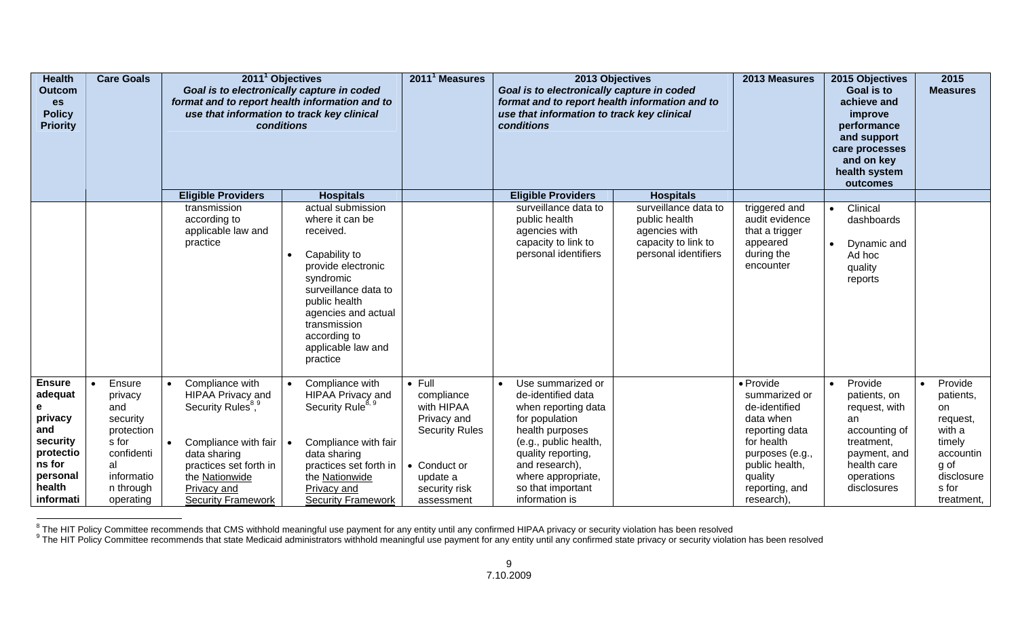| <b>Health</b><br><b>Outcom</b><br><b>es</b><br><b>Policy</b><br><b>Priority</b>                                              | <b>Care Goals</b>                                                                                                                    | 2011 <sup>1</sup> Objectives<br>Goal is to electronically capture in coded<br>format and to report health information and to<br>use that information to track key clinical<br>conditions<br><b>Eligible Providers</b><br><b>Hospitals</b> |                                                                                                                                                                                                                                         | 2011 <sup>1</sup> Measures                                                                                                                    | 2013 Objectives<br>Goal is to electronically capture in coded<br>format and to report health information and to<br>use that information to track key clinical<br>conditions                                                                    |                                                                                                       | 2013 Measures                                                                                                                                                            | 2015 Objectives<br>Goal is to<br>achieve and<br>improve<br>performance<br>and support<br>care processes<br>and on key<br>health system<br>outcomes     | 2015<br><b>Measures</b>                                                                                                           |
|------------------------------------------------------------------------------------------------------------------------------|--------------------------------------------------------------------------------------------------------------------------------------|-------------------------------------------------------------------------------------------------------------------------------------------------------------------------------------------------------------------------------------------|-----------------------------------------------------------------------------------------------------------------------------------------------------------------------------------------------------------------------------------------|-----------------------------------------------------------------------------------------------------------------------------------------------|------------------------------------------------------------------------------------------------------------------------------------------------------------------------------------------------------------------------------------------------|-------------------------------------------------------------------------------------------------------|--------------------------------------------------------------------------------------------------------------------------------------------------------------------------|--------------------------------------------------------------------------------------------------------------------------------------------------------|-----------------------------------------------------------------------------------------------------------------------------------|
|                                                                                                                              |                                                                                                                                      |                                                                                                                                                                                                                                           |                                                                                                                                                                                                                                         |                                                                                                                                               | <b>Eligible Providers</b>                                                                                                                                                                                                                      | <b>Hospitals</b>                                                                                      |                                                                                                                                                                          |                                                                                                                                                        |                                                                                                                                   |
|                                                                                                                              |                                                                                                                                      | transmission<br>according to<br>applicable law and<br>practice                                                                                                                                                                            | actual submission<br>where it can be<br>received.<br>Capability to<br>provide electronic<br>syndromic<br>surveillance data to<br>public health<br>agencies and actual<br>transmission<br>according to<br>applicable law and<br>practice |                                                                                                                                               | surveillance data to<br>public health<br>agencies with<br>capacity to link to<br>personal identifiers                                                                                                                                          | surveillance data to<br>public health<br>agencies with<br>capacity to link to<br>personal identifiers | triggered and<br>audit evidence<br>that a trigger<br>appeared<br>during the<br>encounter                                                                                 | Clinical<br>$\bullet$<br>dashboards<br>Dynamic and<br>$\bullet$<br>Ad hoc<br>quality<br>reports                                                        |                                                                                                                                   |
| <b>Ensure</b><br>adequat<br>е<br>privacy<br>and<br>security<br>protectio<br>ns for<br>personal<br>health<br><b>informati</b> | Ensure<br>$\bullet$<br>privacy<br>and<br>security<br>protection<br>s for<br>confidenti<br>al<br>informatio<br>n through<br>operating | Compliance with<br>$\bullet$<br>HIPAA Privacy and<br>Security Rules <sup>8,9</sup><br>Compliance with fair<br>$\bullet$<br>data sharing<br>practices set forth in<br>the Nationwide<br>Privacy and<br><b>Security Framework</b>           | Compliance with<br>HIPAA Privacy and<br>Security Rule <sup>8, 9</sup><br>Compliance with fair<br>data sharing<br>practices set forth in<br>the Nationwide<br>Privacy and<br><b>Security Framework</b>                                   | $\bullet$ Full<br>compliance<br>with HIPAA<br>Privacy and<br><b>Security Rules</b><br>• Conduct or<br>update a<br>security risk<br>assessment | Use summarized or<br>$\bullet$<br>de-identified data<br>when reporting data<br>for population<br>health purposes<br>(e.g., public health,<br>quality reporting,<br>and research),<br>where appropriate,<br>so that important<br>information is |                                                                                                       | • Provide<br>summarized or<br>de-identified<br>data when<br>reporting data<br>for health<br>purposes (e.g.,<br>public health,<br>quality<br>reporting, and<br>research), | Provide<br>$\bullet$<br>patients, on<br>request, with<br>an<br>accounting of<br>treatment,<br>payment, and<br>health care<br>operations<br>disclosures | Provide<br>$\bullet$<br>patients,<br>on<br>request,<br>with a<br>timely<br>accountin<br>g of<br>disclosure<br>s for<br>treatment, |

<sup>&</sup>lt;sup>8</sup> The HIT Policy Committee recommends that CMS withhold meaningful use payment for any entity until any confirmed HIPAA privacy or security violation has been resolved<br><sup>9</sup> The HIT Policy Committee recommends that state M